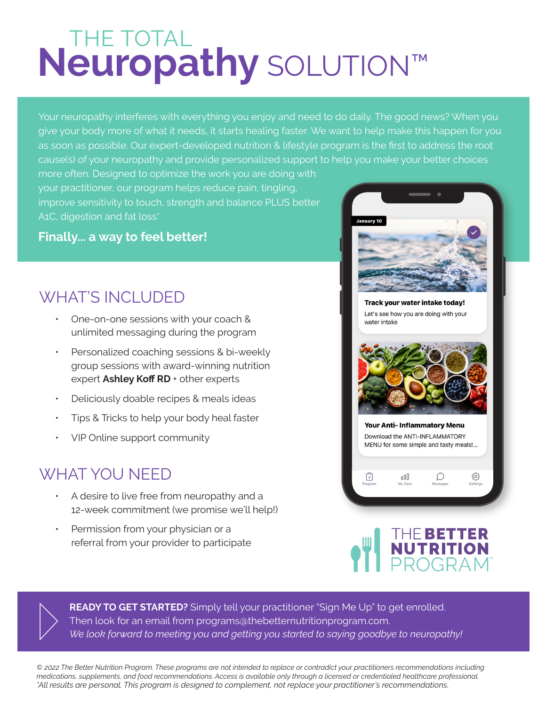## **THE TOTAL Neuropathy** SOLUTION™

Your neuropathy interferes with everything you enjoy and need to do daily. The good news? When you give your body more of what it needs, it starts healing faster. We want to help make this happen for you as soon as possible. Our expert-developed nutrition & lifestyle program is the first to address the root cause(s) of your neuropathy and provide personalized support to help you make your better choices

more often. Designed to optimize the work you are doing with your practitioner, our program helps reduce pain, tingling, improve sensitivity to touch, strength and balance PLUS better A<sub>1</sub>C, digestion and fat loss<sup>\*</sup>

## **Finally... a way to feel better!**

## **WHAT'S INCLUDED**

- ƽ One-on-one sessions with your coach & unlimited messaging during the program
- Personalized coaching sessions & bi-weekly group sessions with award-winning nutrition expert Ashley Koff RD + other experts
- ƽ Deliciously doable recipes & meals ideas
- ƽ Tips & Tricks to help your body heal faster
- ƽ VIP Online support community

## WHAT YOU NEED

- ƽ A desire to live free from neuropathy and a 12-week commitment (we promise we'll help!)
- Permission from your physician or a referral from your provider to participate



Track your water intake today! Let's see how you are doing with your water intake



**Your Anti-Inflammatory Menu** Download the ANTI-INFLAMMATORY MENU for some simple and tasty meals!...

 $\bigcup$ 

{ૢ૾ૺ

oOO

☑





**READY TO GET STARTED?** Simply tell your practitioner "Sign Me Up" to get enrolled. Then look for an email from programs@thebetternutritionprogram.com. *We look forward to meeting you and getting you started to saying goodbye to neuropathy!*

*© 2022 The Better Nutrition Program. These programs are not intended to replace or contradict your practitioners recommendations including medications, supplements, and food recommendations. Access is available only through a licensed or credentialed healthcare professional. \*All results are personal. This program is designed to complement, not replace your practitioner's recommendations.*